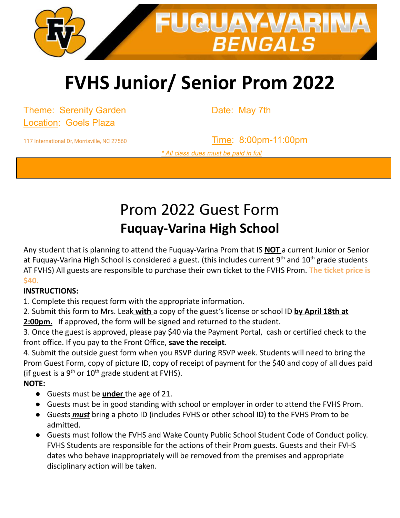

# **FVHS Junior/ Senior Prom 2022**

Theme: Serenity Garden **Date: May 7th** Location: Goels Plaza

117 International Dr, Morrisville, NC 27560 Time: 8:00pm-11:00pm *\* All class dues must be paid in full*

### Prom 2022 Guest Form **Fuquay-Varina High School**

Any student that is planning to attend the Fuquay-Varina Prom that IS **NOT** a current Junior or Senior at Fuquay-Varina High School is considered a guest. (this includes current 9<sup>th</sup> and 10<sup>th</sup> grade students AT FVHS) All guests are responsible to purchase their own ticket to the FVHS Prom. **The ticket price is \$40.**

#### **INSTRUCTIONS:**

1. Complete this request form with the appropriate information.

2. Submit this form to Mrs. Leak **with** a copy of the guest's license or school ID **by April 18th at 2:00pm.** If approved, the form will be signed and returned to the student.

3. Once the guest is approved, please pay \$40 via the Payment Portal, cash or certified check to the front office. If you pay to the Front Office, **save the receipt**.

4. Submit the outside guest form when you RSVP during RSVP week. Students will need to bring the Prom Guest Form, copy of picture ID, copy of receipt of payment for the \$40 and copy of all dues paid (if guest is a  $9^{th}$  or  $10^{th}$  grade student at FVHS).

#### **NOTE:**

- Guests must be **under** the age of 21.
- Guests must be in good standing with school or employer in order to attend the FVHS Prom.
- Guests *must* bring a photo ID (includes FVHS or other school ID) to the FVHS Prom to be admitted.
- Guests must follow the FVHS and Wake County Public School Student Code of Conduct policy. FVHS Students are responsible for the actions of their Prom guests. Guests and their FVHS dates who behave inappropriately will be removed from the premises and appropriate disciplinary action will be taken.